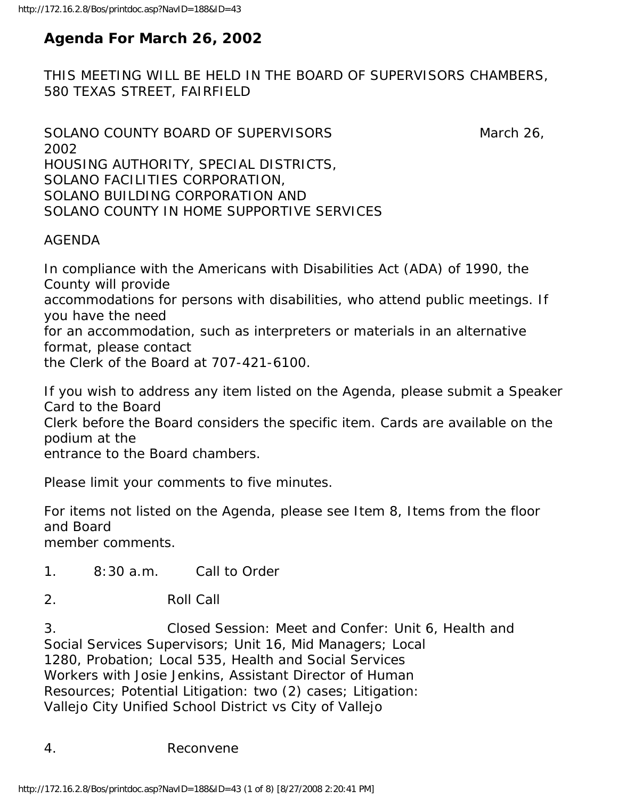# **Agenda For March 26, 2002**

THIS MEETING WILL BE HELD IN THE BOARD OF SUPERVISORS CHAMBERS, 580 TEXAS STREET, FAIRFIELD

```
SOLANO COUNTY BOARD OF SUPERVISORS March 26,
2002 
HOUSING AUTHORITY, SPECIAL DISTRICTS, 
SOLANO FACILITIES CORPORATION, 
SOLANO BUILDING CORPORATION AND 
SOLANO COUNTY IN HOME SUPPORTIVE SERVICES
```
### AGENDA

In compliance with the Americans with Disabilities Act (ADA) of 1990, the County will provide accommodations for persons with disabilities, who attend public meetings. If you have the need for an accommodation, such as interpreters or materials in an alternative format, please contact the Clerk of the Board at 707-421-6100.

If you wish to address any item listed on the Agenda, please submit a Speaker Card to the Board Clerk before the Board considers the specific item. Cards are available on the podium at the entrance to the Board chambers.

Please limit your comments to five minutes.

For items not listed on the Agenda, please see Item 8, Items from the floor and Board member comments.

- 1. 8:30 a.m. Call to Order
- 2. Roll Call

3. Closed Session: Meet and Confer: Unit 6, Health and Social Services Supervisors; Unit 16, Mid Managers; Local 1280, Probation; Local 535, Health and Social Services Workers with Josie Jenkins, Assistant Director of Human Resources; Potential Litigation: two (2) cases; Litigation: Vallejo City Unified School District vs City of Vallejo

4. Reconvene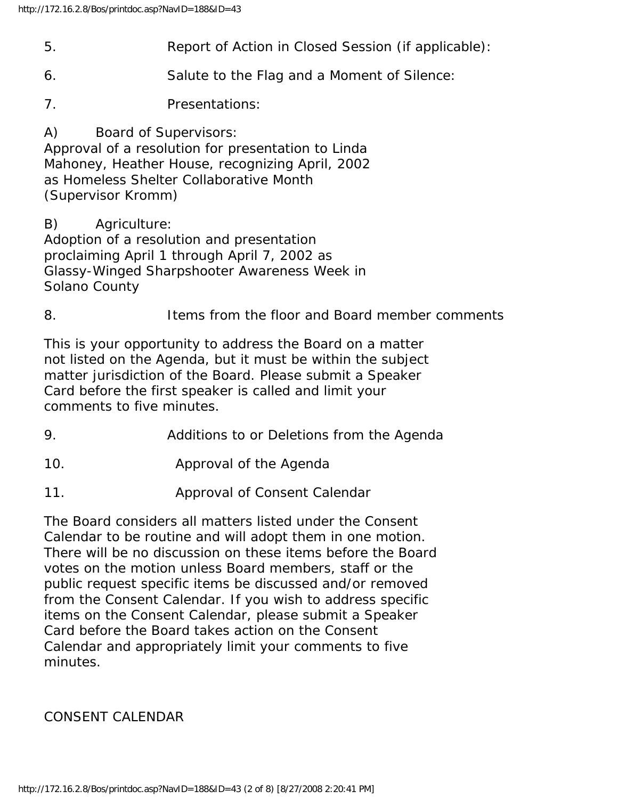- 5. Report of Action in Closed Session (if applicable):
- 6. Salute to the Flag and a Moment of Silence:
- 7. Presentations:

A) Board of Supervisors: Approval of a resolution for presentation to Linda Mahoney, Heather House, recognizing April, 2002 as Homeless Shelter Collaborative Month (Supervisor Kromm)

B) Agriculture:

Adoption of a resolution and presentation proclaiming April 1 through April 7, 2002 as Glassy-Winged Sharpshooter Awareness Week in Solano County

8. Items from the floor and Board member comments

This is your opportunity to address the Board on a matter not listed on the Agenda, but it must be within the subject matter jurisdiction of the Board. Please submit a Speaker Card before the first speaker is called and limit your comments to five minutes.

- 9. Additions to or Deletions from the Agenda
- 10. Approval of the Agenda
- 11. Approval of Consent Calendar

The Board considers all matters listed under the Consent Calendar to be routine and will adopt them in one motion. There will be no discussion on these items before the Board votes on the motion unless Board members, staff or the public request specific items be discussed and/or removed from the Consent Calendar. If you wish to address specific items on the Consent Calendar, please submit a Speaker Card before the Board takes action on the Consent Calendar and appropriately limit your comments to five minutes.

#### CONSENT CALENDAR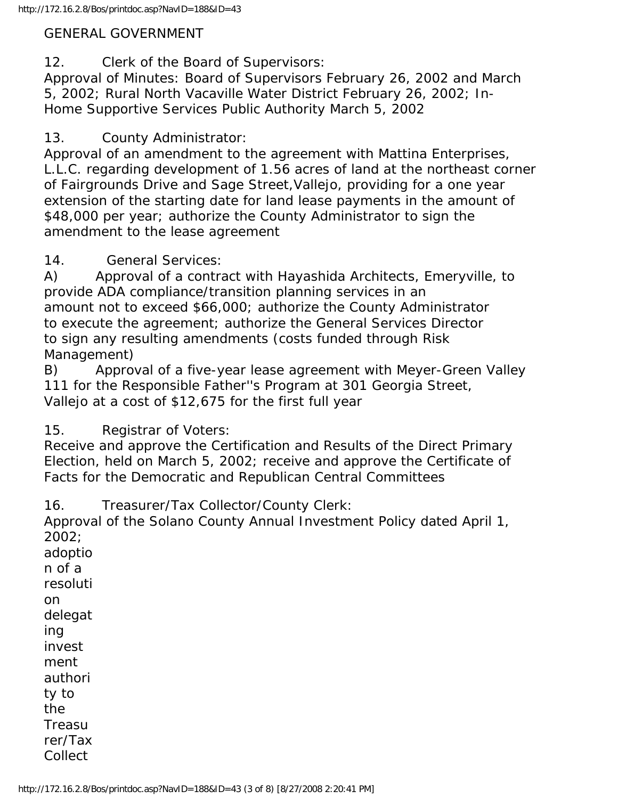#### GENERAL GOVERNMENT

12. Clerk of the Board of Supervisors:

Approval of Minutes: Board of Supervisors February 26, 2002 and March 5, 2002; Rural North Vacaville Water District February 26, 2002; In-Home Supportive Services Public Authority March 5, 2002

13. County Administrator:

Approval of an amendment to the agreement with Mattina Enterprises, L.L.C. regarding development of 1.56 acres of land at the northeast corner of Fairgrounds Drive and Sage Street,Vallejo, providing for a one year extension of the starting date for land lease payments in the amount of \$48,000 per year; authorize the County Administrator to sign the amendment to the lease agreement

14. General Services:

A) Approval of a contract with Hayashida Architects, Emeryville, to provide ADA compliance/transition planning services in an amount not to exceed \$66,000; authorize the County Administrator to execute the agreement; authorize the General Services Director to sign any resulting amendments (costs funded through Risk Management)

B) Approval of a five-year lease agreement with Meyer-Green Valley 111 for the Responsible Father''s Program at 301 Georgia Street, Vallejo at a cost of \$12,675 for the first full year

15. Registrar of Voters:

Receive and approve the Certification and Results of the Direct Primary Election, held on March 5, 2002; receive and approve the Certificate of Facts for the Democratic and Republican Central Committees

16. Treasurer/Tax Collector/County Clerk:

Approval of the Solano County Annual Investment Policy dated April 1, 2002; adoptio

n of a resoluti on delegat ing invest ment authori ty to the Treasu rer/Tax

Collect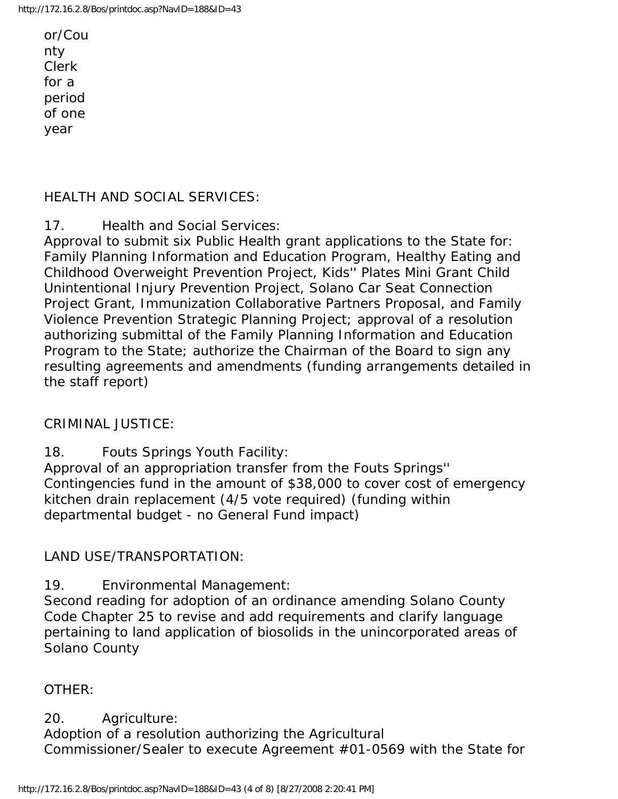or/Cou nty Clerk for a period of one year

### HEALTH AND SOCIAL SERVICES:

17. Health and Social Services:

Approval to submit six Public Health grant applications to the State for: Family Planning Information and Education Program, Healthy Eating and Childhood Overweight Prevention Project, Kids'' Plates Mini Grant Child Unintentional Injury Prevention Project, Solano Car Seat Connection Project Grant, Immunization Collaborative Partners Proposal, and Family Violence Prevention Strategic Planning Project; approval of a resolution authorizing submittal of the Family Planning Information and Education Program to the State; authorize the Chairman of the Board to sign any resulting agreements and amendments (funding arrangements detailed in the staff report)

#### CRIMINAL JUSTICE:

18. Fouts Springs Youth Facility:

Approval of an appropriation transfer from the Fouts Springs'' Contingencies fund in the amount of \$38,000 to cover cost of emergency kitchen drain replacement (4/5 vote required) (funding within departmental budget - no General Fund impact)

### LAND USE/TRANSPORTATION:

19. Environmental Management:

Second reading for adoption of an ordinance amending Solano County Code Chapter 25 to revise and add requirements and clarify language pertaining to land application of biosolids in the unincorporated areas of Solano County

#### OTHER:

20. Agriculture: Adoption of a resolution authorizing the Agricultural Commissioner/Sealer to execute Agreement #01-0569 with the State for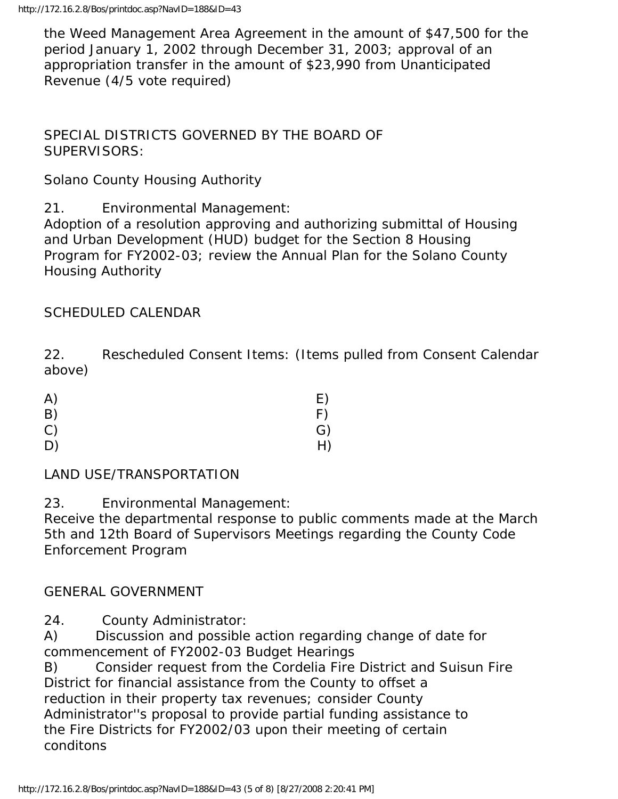the Weed Management Area Agreement in the amount of \$47,500 for the period January 1, 2002 through December 31, 2003; approval of an appropriation transfer in the amount of \$23,990 from Unanticipated Revenue (4/5 vote required)

SPECIAL DISTRICTS GOVERNED BY THE BOARD OF SUPERVISORS:

Solano County Housing Authority

21. Environmental Management:

Adoption of a resolution approving and authorizing submittal of Housing and Urban Development (HUD) budget for the Section 8 Housing Program for FY2002-03; review the Annual Plan for the Solano County Housing Authority

# SCHEDULED CALENDAR

22. Rescheduled Consent Items: (Items pulled from Consent Calendar above)

| A) | E) |
|----|----|
| B) | F) |
| C) | G) |
| D) | H) |

LAND USE/TRANSPORTATION

23. Environmental Management:

Receive the departmental response to public comments made at the March 5th and 12th Board of Supervisors Meetings regarding the County Code Enforcement Program

# GENERAL GOVERNMENT

24. County Administrator:

A) Discussion and possible action regarding change of date for commencement of FY2002-03 Budget Hearings

B) Consider request from the Cordelia Fire District and Suisun Fire District for financial assistance from the County to offset a reduction in their property tax revenues; consider County Administrator''s proposal to provide partial funding assistance to the Fire Districts for FY2002/03 upon their meeting of certain conditons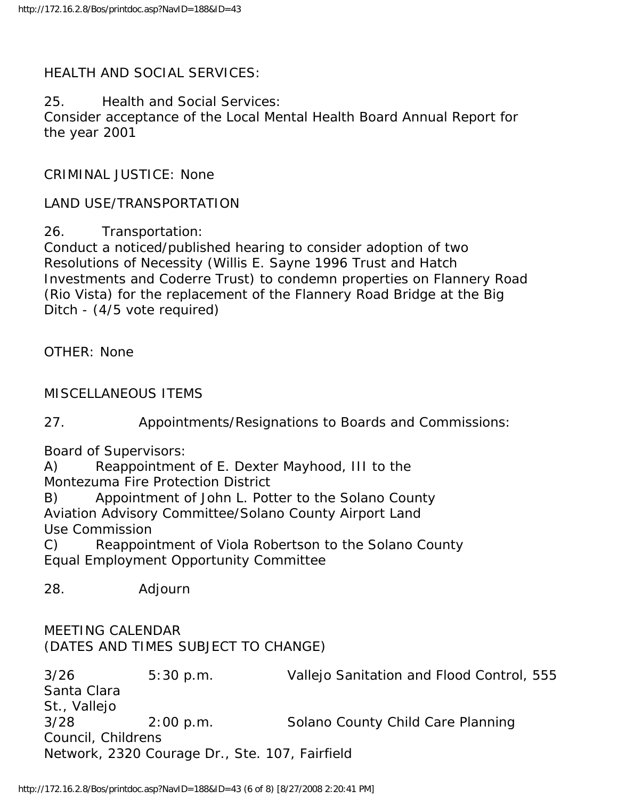### HEALTH AND SOCIAL SERVICES:

25. Health and Social Services:

Consider acceptance of the Local Mental Health Board Annual Report for the year 2001

CRIMINAL JUSTICE: None

LAND USE/TRANSPORTATION

26. Transportation:

Conduct a noticed/published hearing to consider adoption of two Resolutions of Necessity (Willis E. Sayne 1996 Trust and Hatch Investments and Coderre Trust) to condemn properties on Flannery Road (Rio Vista) for the replacement of the Flannery Road Bridge at the Big Ditch - (4/5 vote required)

OTHER: None

MISCELLANEOUS ITEMS

27. Appointments/Resignations to Boards and Commissions:

Board of Supervisors:

A) Reappointment of E. Dexter Mayhood, III to the Montezuma Fire Protection District

B) Appointment of John L. Potter to the Solano County Aviation Advisory Committee/Solano County Airport Land Use Commission

C) Reappointment of Viola Robertson to the Solano County Equal Employment Opportunity Committee

28. Adjourn

MEETING CALENDAR (DATES AND TIMES SUBJECT TO CHANGE)

3/26 5:30 p.m. Vallejo Sanitation and Flood Control, 555 Santa Clara St., Vallejo 3/28 2:00 p.m. Solano County Child Care Planning Council, Childrens Network, 2320 Courage Dr., Ste. 107, Fairfield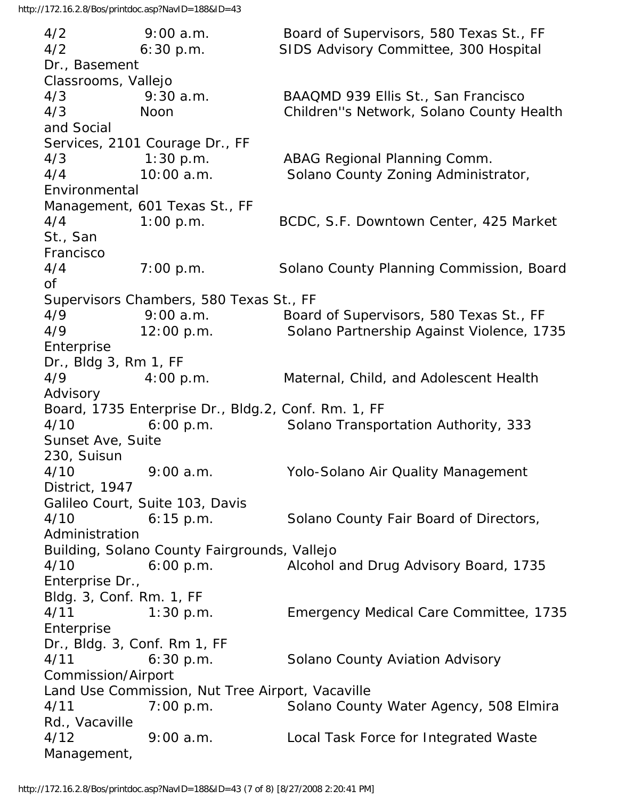4/2 9:00 a.m. Board of Supervisors, 580 Texas St., FF 4/2 6:30 p.m. SIDS Advisory Committee, 300 Hospital Dr., Basement Classrooms, Vallejo 4/3 9:30 a.m. BAAQMD 939 Ellis St., San Francisco 4/3 Noon Children''s Network, Solano County Health and Social Services, 2101 Courage Dr., FF 4/3 1:30 p.m. ABAG Regional Planning Comm. 4/4 10:00 a.m. Solano County Zoning Administrator, Environmental Management, 601 Texas St., FF 4/4 1:00 p.m. BCDC, S.F. Downtown Center, 425 Market St., San Francisco 4/4 7:00 p.m. Solano County Planning Commission, Board of Supervisors Chambers, 580 Texas St., FF 4/9 9:00 a.m. Board of Supervisors, 580 Texas St., FF 4/9 12:00 p.m. Solano Partnership Against Violence, 1735 Enterprise Dr., Bldg 3, Rm 1, FF 4/9 4:00 p.m. Maternal, Child, and Adolescent Health Advisory Board, 1735 Enterprise Dr., Bldg.2, Conf. Rm. 1, FF 4/10 6:00 p.m. Solano Transportation Authority, 333 Sunset Ave, Suite 230, Suisun 4/10 9:00 a.m. Yolo-Solano Air Quality Management District, 1947 Galileo Court, Suite 103, Davis 4/10 6:15 p.m. Solano County Fair Board of Directors, Administration Building, Solano County Fairgrounds, Vallejo 4/10 6:00 p.m. Alcohol and Drug Advisory Board, 1735 Enterprise Dr., Bldg. 3, Conf. Rm. 1, FF 4/11 1:30 p.m. Emergency Medical Care Committee, 1735 **Enterprise** Dr., Bldg. 3, Conf. Rm 1, FF 4/11 6:30 p.m. Solano County Aviation Advisory Commission/Airport Land Use Commission, Nut Tree Airport, Vacaville 4/11 7:00 p.m. Solano County Water Agency, 508 Elmira Rd., Vacaville 4/12 9:00 a.m. Local Task Force for Integrated Waste Management,